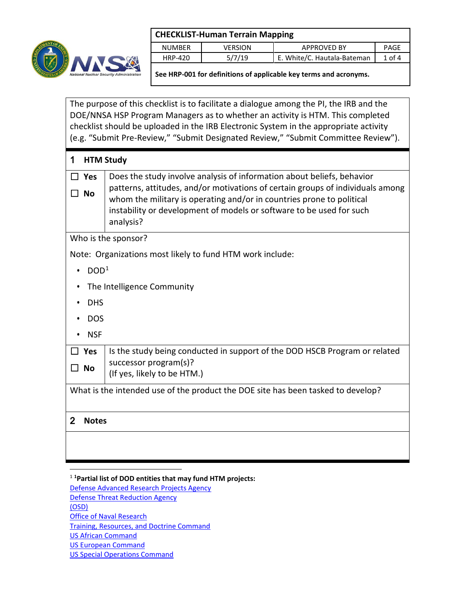

| <b>CHECKLIST-Human Terrain Mapping</b> |                |                             |            |  |
|----------------------------------------|----------------|-----------------------------|------------|--|
| <b>NUMBER</b>                          | <b>VERSION</b> | <b>APPROVED BY</b>          | PAGF       |  |
| <b>HRP-420</b>                         | 5/7/19         | E. White/C. Hautala-Bateman | $1$ of $4$ |  |
|                                        |                |                             |            |  |

**See HRP-001 for definitions of applicable key terms and acronyms.**

The purpose of this checklist is to facilitate a dialogue among the PI, the IRB and the DOE/NNSA HSP Program Managers as to whether an activity is HTM. This completed checklist should be uploaded in the IRB Electronic System in the appropriate activity (e.g. "Submit Pre-Review," "Submit Designated Review," "Submit Committee Review").

| 1                       | <b>HTM Study</b>                                                                                                                                                                                                                                                                                                       |  |  |
|-------------------------|------------------------------------------------------------------------------------------------------------------------------------------------------------------------------------------------------------------------------------------------------------------------------------------------------------------------|--|--|
| <b>Yes</b><br><b>No</b> | Does the study involve analysis of information about beliefs, behavior<br>patterns, attitudes, and/or motivations of certain groups of individuals among<br>whom the military is operating and/or in countries prone to political<br>instability or development of models or software to be used for such<br>analysis? |  |  |
|                         | Who is the sponsor?                                                                                                                                                                                                                                                                                                    |  |  |
|                         | Note: Organizations most likely to fund HTM work include:                                                                                                                                                                                                                                                              |  |  |
| DOD <sup>1</sup>        |                                                                                                                                                                                                                                                                                                                        |  |  |
|                         | The Intelligence Community                                                                                                                                                                                                                                                                                             |  |  |
| <b>DHS</b>              |                                                                                                                                                                                                                                                                                                                        |  |  |
| <b>DOS</b>              |                                                                                                                                                                                                                                                                                                                        |  |  |
| <b>NSF</b>              |                                                                                                                                                                                                                                                                                                                        |  |  |
| <b>Yes</b>              | Is the study being conducted in support of the DOD HSCB Program or related                                                                                                                                                                                                                                             |  |  |
| No                      | successor program(s)?<br>(If yes, likely to be HTM.)                                                                                                                                                                                                                                                                   |  |  |
|                         | What is the intended use of the product the DOE site has been tasked to develop?                                                                                                                                                                                                                                       |  |  |
| 2<br><b>Notes</b>       |                                                                                                                                                                                                                                                                                                                        |  |  |
|                         |                                                                                                                                                                                                                                                                                                                        |  |  |

<span id="page-0-0"></span>1 **1 Partial list of DOD entities that may fund HTM projects:** [Defense Advanced Research Projects Agency](http://www.darpa.mil/)  [Defense Threat Reduction Agency](http://www.dtra.mil/Home.aspx)  [\(OSD\)](http://www.defense.gov/osd/) [Office of Naval Research](http://www.onr.navy.mil/)  [Training, Resources, and Doctrine Command](http://www.tradoc.army.mil/)  [US African Command](http://www.africom.mil/)  [US European Command](http://www.eucom.mil/)  [US Special Operations Command](http://www.socom.mil/default.aspx)

 $\overline{a}$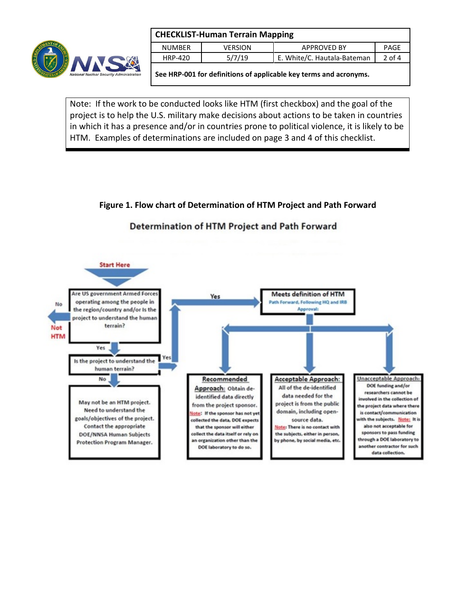

| <b>CHECKLIST-Human Terrain Mapping</b> |                |                             |             |  |
|----------------------------------------|----------------|-----------------------------|-------------|--|
| <b>NUMBER</b>                          | <b>VERSION</b> | <b>APPROVED BY</b>          | <b>PAGF</b> |  |
| HRP-420                                | 5/7/19         | E. White/C. Hautala-Bateman | $2$ of 4    |  |
|                                        |                |                             |             |  |

**See HRP-001 for definitions of applicable key terms and acronyms.**

Note: If the work to be conducted looks like HTM (first checkbox) and the goal of the project is to help the U.S. military make decisions about actions to be taken in countries in which it has a presence and/or in countries prone to political violence, it is likely to be HTM. Examples of determinations are included on page 3 and 4 of this checklist.

**Figure 1. Flow chart of Determination of HTM Project and Path Forward**

## Determination of HTM Project and Path Forward

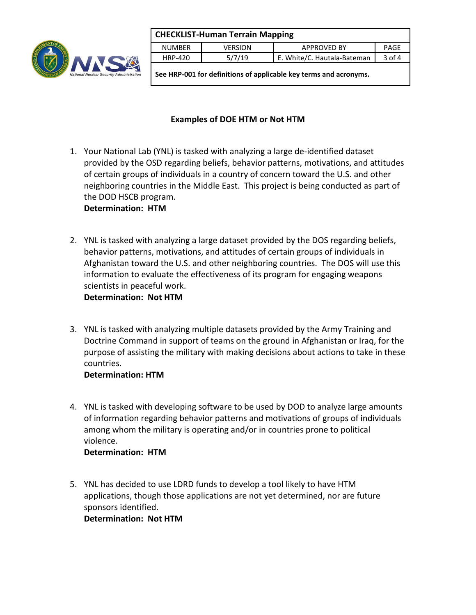

| <b>CHECKLIST-Human Terrain Mapping</b>                            |                |                             |          |  |
|-------------------------------------------------------------------|----------------|-----------------------------|----------|--|
| <b>NUMBER</b>                                                     | <b>VERSION</b> | <b>APPROVED BY</b>          | PAGE     |  |
| HRP-420                                                           | 5/7/19         | E. White/C. Hautala-Bateman | $3$ of 4 |  |
| See HRP-001 for definitions of applicable key terms and acronyms. |                |                             |          |  |

## **Examples of DOE HTM or Not HTM**

1. Your National Lab (YNL) is tasked with analyzing a large de-identified dataset provided by the OSD regarding beliefs, behavior patterns, motivations, and attitudes of certain groups of individuals in a country of concern toward the U.S. and other neighboring countries in the Middle East. This project is being conducted as part of the DOD HSCB program.

**Determination: HTM**

2. YNL is tasked with analyzing a large dataset provided by the DOS regarding beliefs, behavior patterns, motivations, and attitudes of certain groups of individuals in Afghanistan toward the U.S. and other neighboring countries. The DOS will use this information to evaluate the effectiveness of its program for engaging weapons scientists in peaceful work.

**Determination: Not HTM** 

3. YNL is tasked with analyzing multiple datasets provided by the Army Training and Doctrine Command in support of teams on the ground in Afghanistan or Iraq, for the purpose of assisting the military with making decisions about actions to take in these countries.

## **Determination: HTM**

4. YNL is tasked with developing software to be used by DOD to analyze large amounts of information regarding behavior patterns and motivations of groups of individuals among whom the military is operating and/or in countries prone to political violence.

## **Determination: HTM**

5. YNL has decided to use LDRD funds to develop a tool likely to have HTM applications, though those applications are not yet determined, nor are future sponsors identified. **Determination: Not HTM**